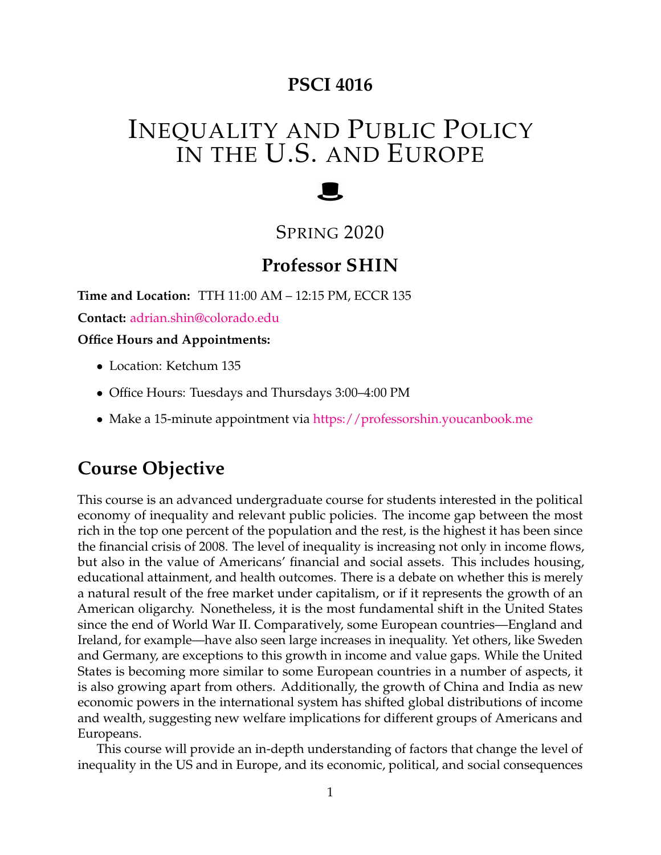## **PSCI 4016**

# INEQUALITY AND PUBLIC POLICY IN THE U.S. AND EUROPE

# SPRING 2020

# **Professor SHIN**

**Time and Location:** TTH 11:00 AM – 12:15 PM, ECCR 135

**Contact:** [adrian.shin@colorado.edu](mailto:adrian.shin@colorado.edu)

**Office Hours and Appointments:**

- Location: Ketchum 135
- Office Hours: Tuesdays and Thursdays 3:00–4:00 PM
- Make a 15-minute appointment via <https://professorshin.youcanbook.me>

# **Course Objective**

This course is an advanced undergraduate course for students interested in the political economy of inequality and relevant public policies. The income gap between the most rich in the top one percent of the population and the rest, is the highest it has been since the financial crisis of 2008. The level of inequality is increasing not only in income flows, but also in the value of Americans' financial and social assets. This includes housing, educational attainment, and health outcomes. There is a debate on whether this is merely a natural result of the free market under capitalism, or if it represents the growth of an American oligarchy. Nonetheless, it is the most fundamental shift in the United States since the end of World War II. Comparatively, some European countries—England and Ireland, for example—have also seen large increases in inequality. Yet others, like Sweden and Germany, are exceptions to this growth in income and value gaps. While the United States is becoming more similar to some European countries in a number of aspects, it is also growing apart from others. Additionally, the growth of China and India as new economic powers in the international system has shifted global distributions of income and wealth, suggesting new welfare implications for different groups of Americans and Europeans.

This course will provide an in-depth understanding of factors that change the level of inequality in the US and in Europe, and its economic, political, and social consequences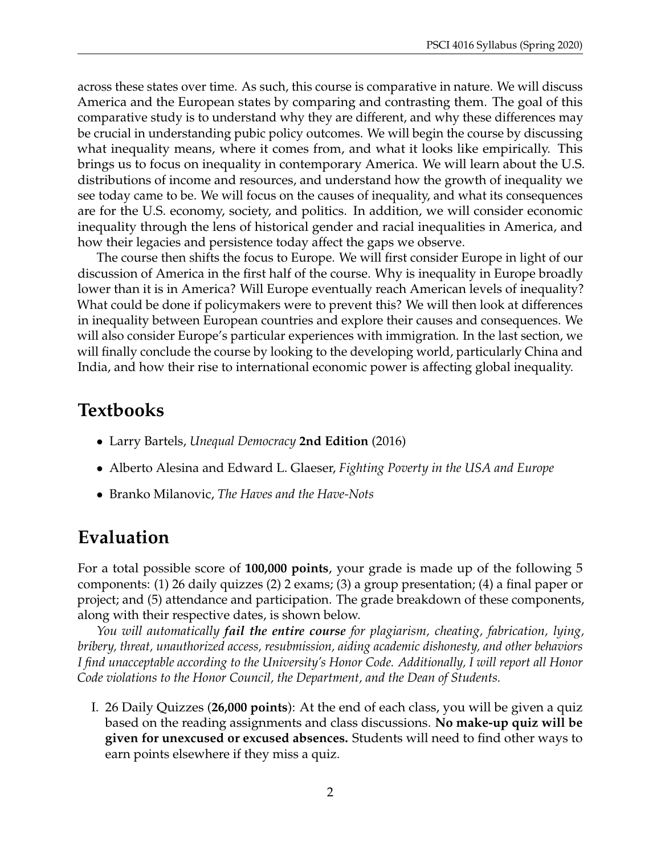across these states over time. As such, this course is comparative in nature. We will discuss America and the European states by comparing and contrasting them. The goal of this comparative study is to understand why they are different, and why these differences may be crucial in understanding pubic policy outcomes. We will begin the course by discussing what inequality means, where it comes from, and what it looks like empirically. This brings us to focus on inequality in contemporary America. We will learn about the U.S. distributions of income and resources, and understand how the growth of inequality we see today came to be. We will focus on the causes of inequality, and what its consequences are for the U.S. economy, society, and politics. In addition, we will consider economic inequality through the lens of historical gender and racial inequalities in America, and how their legacies and persistence today affect the gaps we observe.

The course then shifts the focus to Europe. We will first consider Europe in light of our discussion of America in the first half of the course. Why is inequality in Europe broadly lower than it is in America? Will Europe eventually reach American levels of inequality? What could be done if policymakers were to prevent this? We will then look at differences in inequality between European countries and explore their causes and consequences. We will also consider Europe's particular experiences with immigration. In the last section, we will finally conclude the course by looking to the developing world, particularly China and India, and how their rise to international economic power is affecting global inequality.

## **Textbooks**

- Larry Bartels, *Unequal Democracy* **2nd Edition** (2016)
- Alberto Alesina and Edward L. Glaeser, *Fighting Poverty in the USA and Europe*
- Branko Milanovic, *The Haves and the Have-Nots*

## **Evaluation**

For a total possible score of **100,000 points**, your grade is made up of the following 5 components: (1) 26 daily quizzes (2) 2 exams; (3) a group presentation; (4) a final paper or project; and (5) attendance and participation. The grade breakdown of these components, along with their respective dates, is shown below.

*You will automatically fail the entire course for plagiarism, cheating, fabrication, lying, bribery, threat, unauthorized access, resubmission, aiding academic dishonesty, and other behaviors I find unacceptable according to the University's Honor Code. Additionally, I will report all Honor Code violations to the Honor Council, the Department, and the Dean of Students.*

I. 26 Daily Quizzes (**26,000 points**): At the end of each class, you will be given a quiz based on the reading assignments and class discussions. **No make-up quiz will be given for unexcused or excused absences.** Students will need to find other ways to earn points elsewhere if they miss a quiz.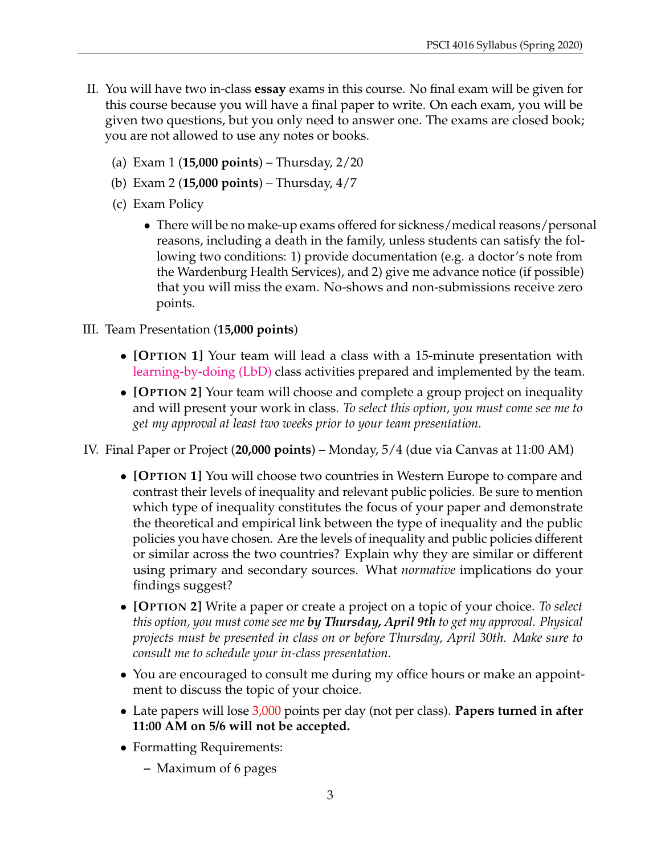- II. You will have two in-class **essay** exams in this course. No final exam will be given for this course because you will have a final paper to write. On each exam, you will be given two questions, but you only need to answer one. The exams are closed book; you are not allowed to use any notes or books.
	- (a) Exam 1 (**15,000 points**) Thursday, 2/20
	- (b) Exam 2 (**15,000 points**) Thursday, 4/7
	- (c) Exam Policy
		- There will be no make-up exams offered for sickness/medical reasons/personal reasons, including a death in the family, unless students can satisfy the following two conditions: 1) provide documentation (e.g. a doctor's note from the Wardenburg Health Services), and 2) give me advance notice (if possible) that you will miss the exam. No-shows and non-submissions receive zero points.
- III. Team Presentation (**15,000 points**)
	- **[OPTION 1]** Your team will lead a class with a 15-minute presentation with [learning-by-doing \(LbD\)](https://opentextbc.ca/teachinginadigitalage/chapter/4-4-models-for-teaching-by-doing/) class activities prepared and implemented by the team.
	- **[OPTION 2]** Your team will choose and complete a group project on inequality and will present your work in class. *To select this option, you must come see me to get my approval at least two weeks prior to your team presentation.*

IV. Final Paper or Project (**20,000 points**) – Monday, 5/4 (due via Canvas at 11:00 AM)

- **[OPTION 1]** You will choose two countries in Western Europe to compare and contrast their levels of inequality and relevant public policies. Be sure to mention which type of inequality constitutes the focus of your paper and demonstrate the theoretical and empirical link between the type of inequality and the public policies you have chosen. Are the levels of inequality and public policies different or similar across the two countries? Explain why they are similar or different using primary and secondary sources. What *normative* implications do your findings suggest?
- **[OPTION 2]** Write a paper or create a project on a topic of your choice. *To select this option, you must come see me by Thursday, April 9th to get my approval. Physical projects must be presented in class on or before Thursday, April 30th. Make sure to consult me to schedule your in-class presentation.*
- You are encouraged to consult me during my office hours or make an appointment to discuss the topic of your choice.
- Late papers will lose 3,000 points per day (not per class). **Papers turned in after 11:00 AM on 5/6 will not be accepted.**
- Formatting Requirements:
	- **–** Maximum of 6 pages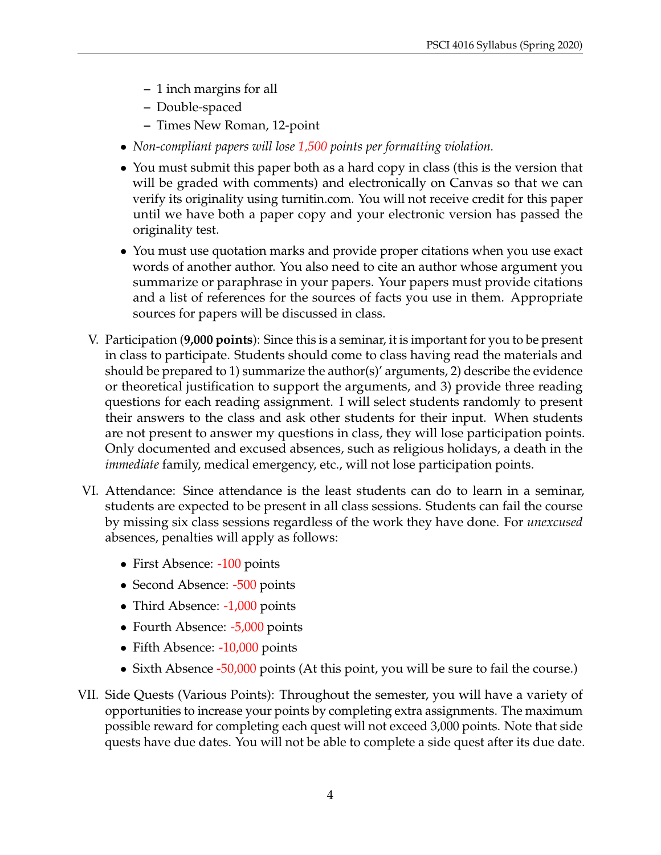- **–** 1 inch margins for all
- **–** Double-spaced
- **–** Times New Roman, 12-point
- *Non-compliant papers will lose 1,500 points per formatting violation.*
- You must submit this paper both as a hard copy in class (this is the version that will be graded with comments) and electronically on Canvas so that we can verify its originality using turnitin.com. You will not receive credit for this paper until we have both a paper copy and your electronic version has passed the originality test.
- You must use quotation marks and provide proper citations when you use exact words of another author. You also need to cite an author whose argument you summarize or paraphrase in your papers. Your papers must provide citations and a list of references for the sources of facts you use in them. Appropriate sources for papers will be discussed in class.
- V. Participation (**9,000 points**): Since this is a seminar, it is important for you to be present in class to participate. Students should come to class having read the materials and should be prepared to 1) summarize the author(s)' arguments, 2) describe the evidence or theoretical justification to support the arguments, and 3) provide three reading questions for each reading assignment. I will select students randomly to present their answers to the class and ask other students for their input. When students are not present to answer my questions in class, they will lose participation points. Only documented and excused absences, such as religious holidays, a death in the *immediate* family, medical emergency, etc., will not lose participation points.
- VI. Attendance: Since attendance is the least students can do to learn in a seminar, students are expected to be present in all class sessions. Students can fail the course by missing six class sessions regardless of the work they have done. For *unexcused* absences, penalties will apply as follows:
	- First Absence: -100 points
	- Second Absence: -500 points
	- Third Absence: -1,000 points
	- Fourth Absence: -5,000 points
	- Fifth Absence: -10,000 points
	- Sixth Absence -50,000 points (At this point, you will be sure to fail the course.)
- VII. Side Quests (Various Points): Throughout the semester, you will have a variety of opportunities to increase your points by completing extra assignments. The maximum possible reward for completing each quest will not exceed 3,000 points. Note that side quests have due dates. You will not be able to complete a side quest after its due date.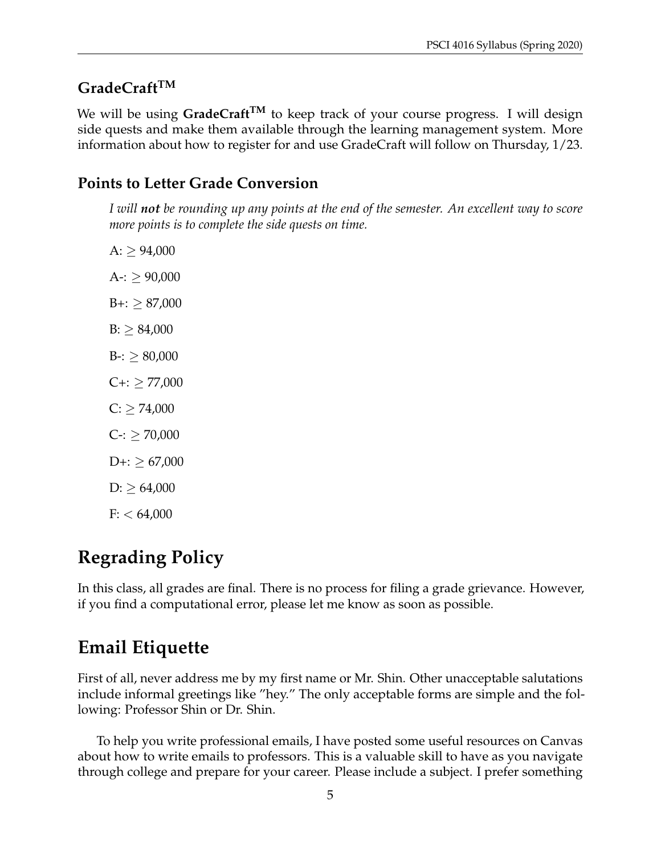## **GradeCraftTM**

We will be using GradeCraft<sup>TM</sup> to keep track of your course progress. I will design side quests and make them available through the learning management system. More information about how to register for and use GradeCraft will follow on Thursday, 1/23.

## **Points to Letter Grade Conversion**

*I will not be rounding up any points at the end of the semester. An excellent way to score more points is to complete the side quests on time.*

 $A: \geq 94,000$  $A-$ :  $> 90,000$  $B +: \geq 87,000$  $B: > 84,000$  $B -: \geq 80,000$  $C_{+}$ :  $\geq$  77,000  $C: \geq 74,000$  $C$ -:  $\geq 70,000$  $D+:=$   $\geq 67,000$  $D: \geq 64,000$  $F: < 64,000$ 

# **Regrading Policy**

In this class, all grades are final. There is no process for filing a grade grievance. However, if you find a computational error, please let me know as soon as possible.

# **Email Etiquette**

First of all, never address me by my first name or Mr. Shin. Other unacceptable salutations include informal greetings like "hey." The only acceptable forms are simple and the following: Professor Shin or Dr. Shin.

To help you write professional emails, I have posted some useful resources on Canvas about how to write emails to professors. This is a valuable skill to have as you navigate through college and prepare for your career. Please include a subject. I prefer something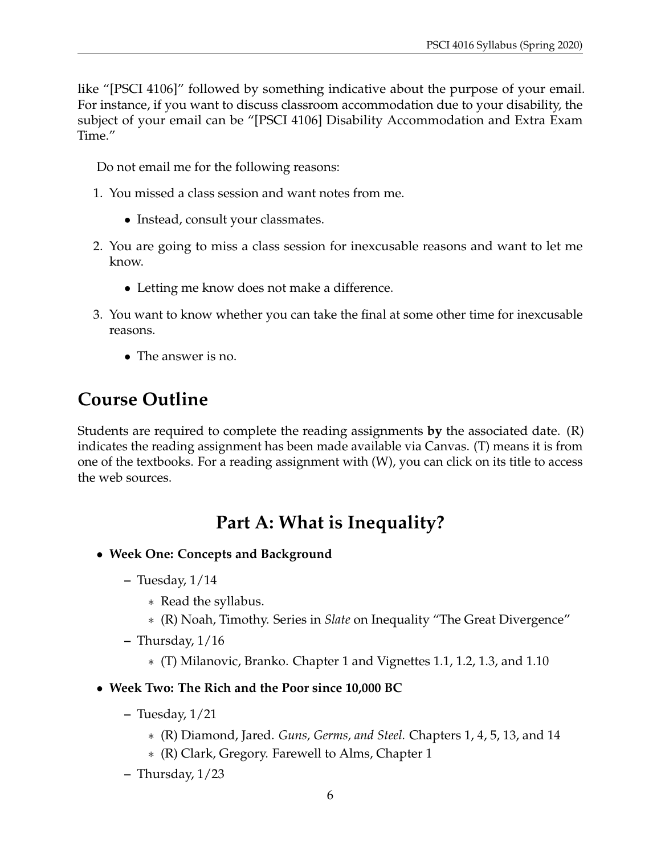like "[PSCI 4106]" followed by something indicative about the purpose of your email. For instance, if you want to discuss classroom accommodation due to your disability, the subject of your email can be "[PSCI 4106] Disability Accommodation and Extra Exam Time."

Do not email me for the following reasons:

- 1. You missed a class session and want notes from me.
	- Instead, consult your classmates.
- 2. You are going to miss a class session for inexcusable reasons and want to let me know.
	- Letting me know does not make a difference.
- 3. You want to know whether you can take the final at some other time for inexcusable reasons.
	- The answer is no.

# **Course Outline**

Students are required to complete the reading assignments **by** the associated date. (R) indicates the reading assignment has been made available via Canvas. (T) means it is from one of the textbooks. For a reading assignment with (W), you can click on its title to access the web sources.

# **Part A: What is Inequality?**

- **Week One: Concepts and Background**
	- **–** Tuesday, 1/14
		- ∗ Read the syllabus.
		- ∗ (R) Noah, Timothy. Series in *Slate* on Inequality "The Great Divergence"
	- **–** Thursday, 1/16
		- ∗ (T) Milanovic, Branko. Chapter 1 and Vignettes 1.1, 1.2, 1.3, and 1.10
- **Week Two: The Rich and the Poor since 10,000 BC**
	- **–** Tuesday, 1/21
		- ∗ (R) Diamond, Jared. *Guns, Germs, and Steel.* Chapters 1, 4, 5, 13, and 14
		- ∗ (R) Clark, Gregory. Farewell to Alms, Chapter 1
	- **–** Thursday, 1/23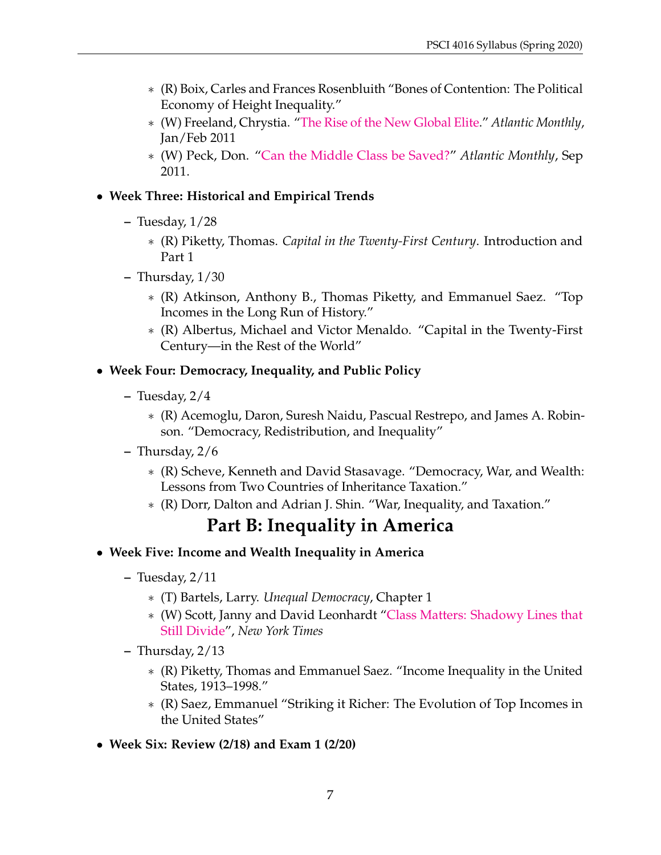- ∗ (R) Boix, Carles and Frances Rosenbluith "Bones of Contention: The Political Economy of Height Inequality."
- ∗ (W) Freeland, Chrystia. ["The Rise of the New Global Elite.](https://www.theatlantic.com/magazine/archive/2011/01/the-rise-of-the-new-global-elite/308343/)" *Atlantic Monthly*, Jan/Feb 2011
- ∗ (W) Peck, Don. ["Can the Middle Class be Saved?"](https://www.theatlantic.com/magazine/archive/2011/09/can-the-middle-class-be-saved/308600/) *Atlantic Monthly*, Sep 2011.

#### • **Week Three: Historical and Empirical Trends**

- **–** Tuesday, 1/28
	- ∗ (R) Piketty, Thomas. *Capital in the Twenty-First Century*. Introduction and Part 1
- **–** Thursday, 1/30
	- ∗ (R) Atkinson, Anthony B., Thomas Piketty, and Emmanuel Saez. "Top Incomes in the Long Run of History."
	- ∗ (R) Albertus, Michael and Victor Menaldo. "Capital in the Twenty-First Century—in the Rest of the World"

#### • **Week Four: Democracy, Inequality, and Public Policy**

- **–** Tuesday, 2/4
	- ∗ (R) Acemoglu, Daron, Suresh Naidu, Pascual Restrepo, and James A. Robinson. "Democracy, Redistribution, and Inequality"
- **–** Thursday, 2/6
	- ∗ (R) Scheve, Kenneth and David Stasavage. "Democracy, War, and Wealth: Lessons from Two Countries of Inheritance Taxation."
	- ∗ (R) Dorr, Dalton and Adrian J. Shin. "War, Inequality, and Taxation."

# **Part B: Inequality in America**

- **Week Five: Income and Wealth Inequality in America**
	- **–** Tuesday, 2/11
		- ∗ (T) Bartels, Larry. *Unequal Democracy*, Chapter 1
		- ∗ (W) Scott, Janny and David Leonhardt ["Class Matters: Shadowy Lines that](https://www.nytimes.com/2005/05/15/us/class/shadowy-lines-that-still-divide.html) [Still Divide"](https://www.nytimes.com/2005/05/15/us/class/shadowy-lines-that-still-divide.html), *New York Times*
	- **–** Thursday, 2/13
		- ∗ (R) Piketty, Thomas and Emmanuel Saez. "Income Inequality in the United States, 1913–1998."
		- ∗ (R) Saez, Emmanuel "Striking it Richer: The Evolution of Top Incomes in the United States"
- **Week Six: Review (2/18) and Exam 1 (2/20)**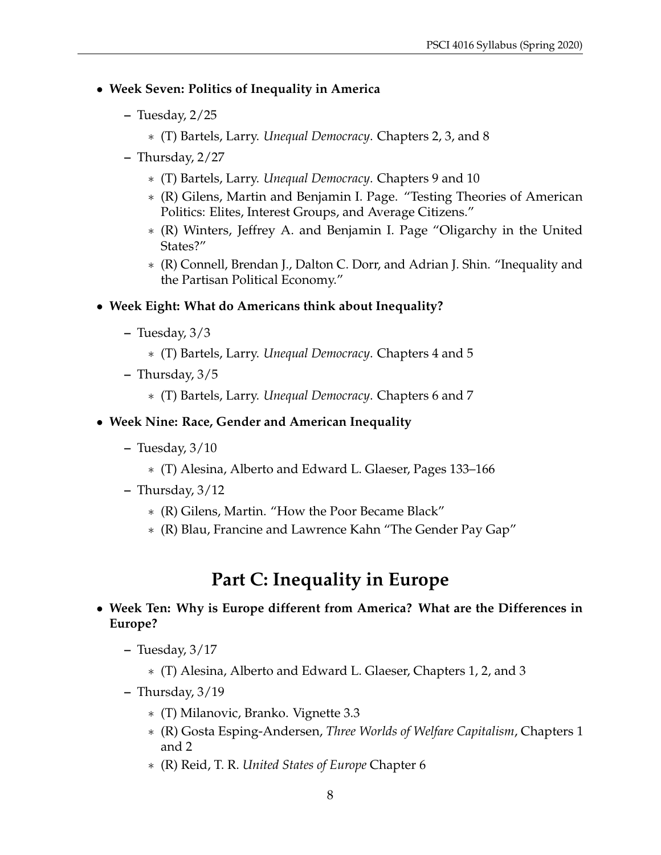#### • **Week Seven: Politics of Inequality in America**

- **–** Tuesday, 2/25
	- ∗ (T) Bartels, Larry. *Unequal Democracy*. Chapters 2, 3, and 8
- **–** Thursday, 2/27
	- ∗ (T) Bartels, Larry. *Unequal Democracy*. Chapters 9 and 10
	- ∗ (R) Gilens, Martin and Benjamin I. Page. "Testing Theories of American Politics: Elites, Interest Groups, and Average Citizens."
	- ∗ (R) Winters, Jeffrey A. and Benjamin I. Page "Oligarchy in the United States?"
	- ∗ (R) Connell, Brendan J., Dalton C. Dorr, and Adrian J. Shin. "Inequality and the Partisan Political Economy."

#### • **Week Eight: What do Americans think about Inequality?**

- **–** Tuesday, 3/3
	- ∗ (T) Bartels, Larry. *Unequal Democracy*. Chapters 4 and 5
- **–** Thursday, 3/5
	- ∗ (T) Bartels, Larry. *Unequal Democracy*. Chapters 6 and 7

#### • **Week Nine: Race, Gender and American Inequality**

- **–** Tuesday, 3/10
	- ∗ (T) Alesina, Alberto and Edward L. Glaeser, Pages 133–166
- **–** Thursday, 3/12
	- ∗ (R) Gilens, Martin. "How the Poor Became Black"
	- ∗ (R) Blau, Francine and Lawrence Kahn "The Gender Pay Gap"

# **Part C: Inequality in Europe**

#### • **Week Ten: Why is Europe different from America? What are the Differences in Europe?**

- **–** Tuesday, 3/17
	- ∗ (T) Alesina, Alberto and Edward L. Glaeser, Chapters 1, 2, and 3
- **–** Thursday, 3/19
	- ∗ (T) Milanovic, Branko. Vignette 3.3
	- ∗ (R) Gosta Esping-Andersen, *Three Worlds of Welfare Capitalism*, Chapters 1 and 2
	- ∗ (R) Reid, T. R. *United States of Europe* Chapter 6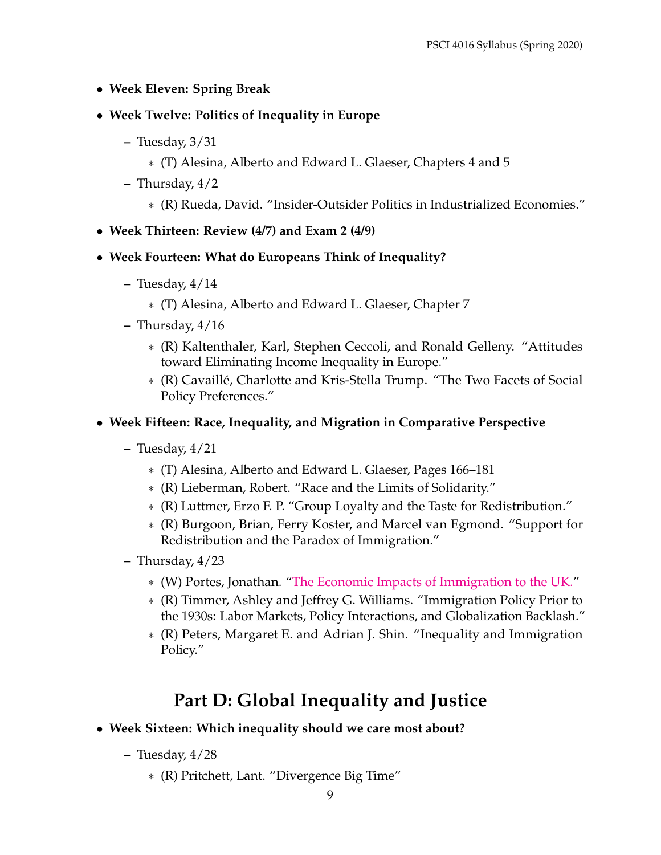- **Week Eleven: Spring Break**
- **Week Twelve: Politics of Inequality in Europe**
	- **–** Tuesday, 3/31
		- ∗ (T) Alesina, Alberto and Edward L. Glaeser, Chapters 4 and 5
	- **–** Thursday, 4/2
		- ∗ (R) Rueda, David. "Insider-Outsider Politics in Industrialized Economies."
- **Week Thirteen: Review (4/7) and Exam 2 (4/9)**
- **Week Fourteen: What do Europeans Think of Inequality?**
	- **–** Tuesday, 4/14
		- ∗ (T) Alesina, Alberto and Edward L. Glaeser, Chapter 7
	- **–** Thursday, 4/16
		- ∗ (R) Kaltenthaler, Karl, Stephen Ceccoli, and Ronald Gelleny. "Attitudes toward Eliminating Income Inequality in Europe."
		- ∗ (R) Cavaille, Charlotte and Kris-Stella Trump. "The Two Facets of Social ´ Policy Preferences."

#### • **Week Fifteen: Race, Inequality, and Migration in Comparative Perspective**

- **–** Tuesday, 4/21
	- ∗ (T) Alesina, Alberto and Edward L. Glaeser, Pages 166–181
	- ∗ (R) Lieberman, Robert. "Race and the Limits of Solidarity."
	- ∗ (R) Luttmer, Erzo F. P. "Group Loyalty and the Taste for Redistribution."
	- ∗ (R) Burgoon, Brian, Ferry Koster, and Marcel van Egmond. "Support for Redistribution and the Paradox of Immigration."
- **–** Thursday, 4/23
	- ∗ (W) Portes, Jonathan. ["The Economic Impacts of Immigration to the UK."](https://voxeu.org/article/economic-impacts-immigration-uk)
	- ∗ (R) Timmer, Ashley and Jeffrey G. Williams. "Immigration Policy Prior to the 1930s: Labor Markets, Policy Interactions, and Globalization Backlash."
	- ∗ (R) Peters, Margaret E. and Adrian J. Shin. "Inequality and Immigration Policy."

# **Part D: Global Inequality and Justice**

- **Week Sixteen: Which inequality should we care most about?**
	- **–** Tuesday, 4/28
		- ∗ (R) Pritchett, Lant. "Divergence Big Time"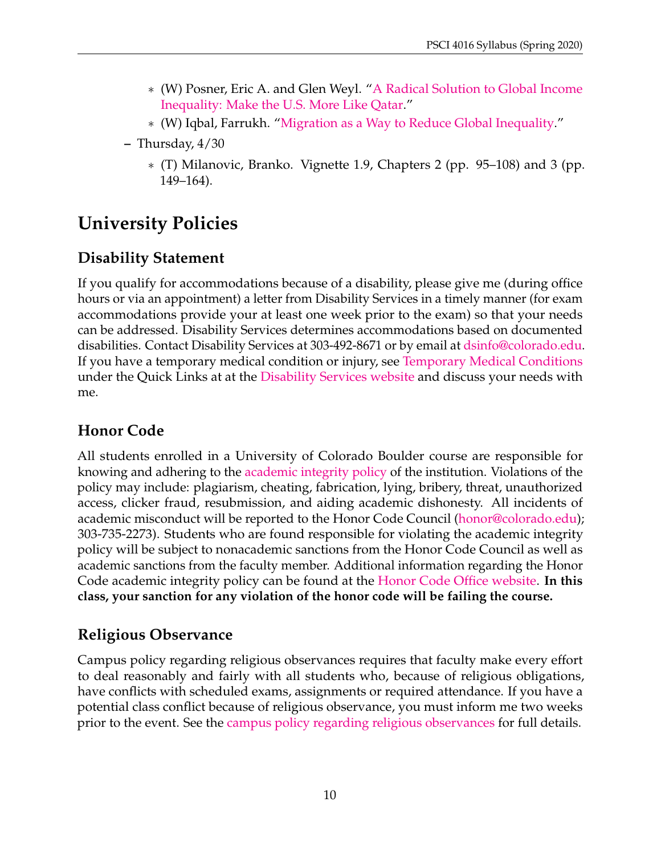- ∗ (W) Posner, Eric A. and Glen Weyl. ["A Radical Solution to Global Income](https://newrepublic.com/article/120179/how-reduce-global-income-inequality-open-immigration-policies) [Inequality: Make the U.S. More Like Qatar.](https://newrepublic.com/article/120179/how-reduce-global-income-inequality-open-immigration-policies)"
- ∗ (W) Iqbal, Farrukh. ["Migration as a Way to Reduce Global Inequality.](https://www.brookings.edu/blog/future-development/2015/01/28/migration-as-a-way-to-reduce-global-inequality/)"
- **–** Thursday, 4/30
	- ∗ (T) Milanovic, Branko. Vignette 1.9, Chapters 2 (pp. 95–108) and 3 (pp. 149–164).

# **University Policies**

#### **Disability Statement**

If you qualify for accommodations because of a disability, please give me (during office hours or via an appointment) a letter from Disability Services in a timely manner (for exam accommodations provide your at least one week prior to the exam) so that your needs can be addressed. Disability Services determines accommodations based on documented disabilities. Contact Disability Services at 303-492-8671 or by email at [dsinfo@colorado.edu.](mailto:dsinfo@colorado.edu) If you have a temporary medical condition or injury, see [Temporary Medical Conditions](https://www.colorado.edu/disabilityservices/students/temporary-medical-conditions) under the Quick Links at at the [Disability Services website](https://www.colorado.edu/disabilityservices/students) and discuss your needs with me.

#### **Honor Code**

All students enrolled in a University of Colorado Boulder course are responsible for knowing and adhering to the [academic integrity policy](https://www.colorado.edu/policies/academic-integrity-policy) of the institution. Violations of the policy may include: plagiarism, cheating, fabrication, lying, bribery, threat, unauthorized access, clicker fraud, resubmission, and aiding academic dishonesty. All incidents of academic misconduct will be reported to the Honor Code Council [\(honor@colorado.edu\)](mailto:honor@colorado.edu); 303-735-2273). Students who are found responsible for violating the academic integrity policy will be subject to nonacademic sanctions from the Honor Code Council as well as academic sanctions from the faculty member. Additional information regarding the Honor Code academic integrity policy can be found at the [Honor Code Office website.](https://www.colorado.edu/sccr/honor-code) **In this class, your sanction for any violation of the honor code will be failing the course.**

#### **Religious Observance**

Campus policy regarding religious observances requires that faculty make every effort to deal reasonably and fairly with all students who, because of religious obligations, have conflicts with scheduled exams, assignments or required attendance. If you have a potential class conflict because of religious observance, you must inform me two weeks prior to the event. See the [campus policy regarding religious observances](https://www.colorado.edu/policies/observance-religious-holidays-and-absences-classes-andor-exams) for full details.